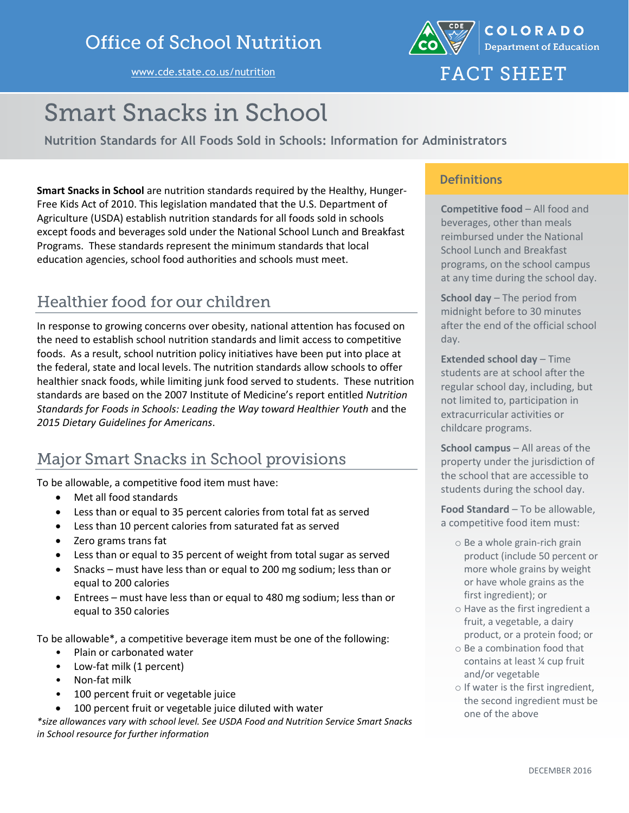



# **FACT SHEET**

# **Smart Snacks in School**

**Nutrition Standards for All Foods Sold in Schools: Information for Administrators**

**Smart Snacks in School** are nutrition standards required by the Healthy, Hunger-Free Kids Act of 2010. This legislation mandated that the U.S. Department of Agriculture (USDA) establish nutrition standards for all foods sold in schools except foods and beverages sold under the National School Lunch and Breakfast Programs. These standards represent the minimum standards that local education agencies, school food authorities and schools must meet.

#### Healthier food for our children

In response to growing concerns over obesity, national attention has focused on the need to establish school nutrition standards and limit access to competitive foods. As a result, school nutrition policy initiatives have been put into place at the federal, state and local levels. The nutrition standards allow schools to offer healthier snack foods, while limiting junk food served to students. These nutrition standards are based on the 2007 Institute of Medicine's report entitled *Nutrition Standards for Foods in Schools: Leading the Way toward Healthier Youth* and the *2015 Dietary Guidelines for Americans*.

# **Major Smart Snacks in School provisions**

To be allowable, a competitive food item must have:

- Met all food standards
- Less than or equal to 35 percent calories from total fat as served
- Less than 10 percent calories from saturated fat as served
- Zero grams trans fat
- Less than or equal to 35 percent of weight from total sugar as served
- Snacks must have less than or equal to 200 mg sodium; less than or equal to 200 calories
- Entrees must have less than or equal to 480 mg sodium; less than or equal to 350 calories

To be allowable\*, a competitive beverage item must be one of the following:

- Plain or carbonated water
- Low-fat milk (1 percent)
- Non-fat milk
- 100 percent fruit or vegetable juice
- 100 percent fruit or vegetable juice diluted with water

*\*size allowances vary with school level. See USDA Food and Nutrition Service Smart Snacks in School resource for further information*

#### **Definitions**

**Competitive food** – All food and beverages, other than meals reimbursed under the National School Lunch and Breakfast programs, on the school campus at any time during the school day.

**School day** – The period from midnight before to 30 minutes after the end of the official school day.

**Extended school day** – Time students are at school after the regular school day, including, but not limited to, participation in extracurricular activities or childcare programs.

**School campus** – All areas of the property under the jurisdiction of the school that are accessible to students during the school day.

**Food Standard** – To be allowable, a competitive food item must:

- o Be a whole grain-rich grain product (include 50 percent or more whole grains by weight or have whole grains as the first ingredient); or
- o Have as the first ingredient a fruit, a vegetable, a dairy product, or a protein food; or
- o Be a combination food that contains at least ¼ cup fruit and/or vegetable
- o If water is the first ingredient, the second ingredient must be one of the above